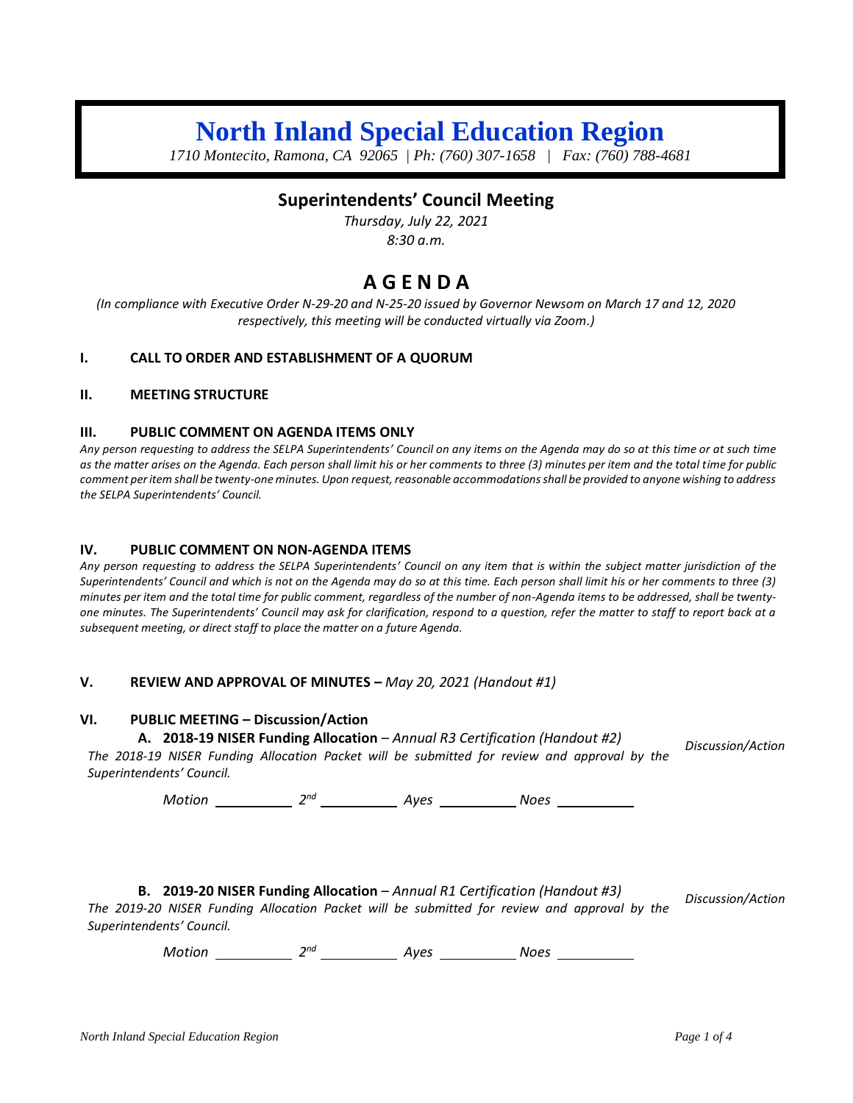# **North Inland Special Education Region**

*1710 Montecito, Ramona, CA 92065 | Ph: (760) 307-1658 | Fax: (760) 788-4681*

## **Superintendents' Council Meeting**

*Thursday, July 22, 2021 8:30 a.m.*

## **A G E N D A**

*(In compliance with Executive Order N-29-20 and N-25-20 issued by Governor Newsom on March 17 and 12, 2020 respectively, this meeting will be conducted virtually via Zoom.)*

#### **I. CALL TO ORDER AND ESTABLISHMENT OF A QUORUM**

#### **II. MEETING STRUCTURE**

#### **III. PUBLIC COMMENT ON AGENDA ITEMS ONLY**

*Any person requesting to address the SELPA Superintendents' Council on any items on the Agenda may do so at this time or at such time as the matter arises on the Agenda. Each person shall limit his or her comments to three (3) minutes per item and the total time for public comment per item shall be twenty-one minutes. Upon request, reasonable accommodations shall be provided to anyone wishing to address the SELPA Superintendents' Council.*

#### **IV. PUBLIC COMMENT ON NON-AGENDA ITEMS**

*Any person requesting to address the SELPA Superintendents' Council on any item that is within the subject matter jurisdiction of the Superintendents' Council and which is not on the Agenda may do so at this time. Each person shall limit his or her comments to three (3) minutes per item and the total time for public comment, regardless of the number of non-Agenda items to be addressed, shall be twentyone minutes. The Superintendents' Council may ask for clarification, respond to a question, refer the matter to staff to report back at a subsequent meeting, or direct staff to place the matter on a future Agenda.*

#### **V. REVIEW AND APPROVAL OF MINUTES –** *May 20, 2021 (Handout #1)*

#### **VI. PUBLIC MEETING – Discussion/Action**

#### **A. 2018-19 NISER Funding Allocation** *– Annual R3 Certification (Handout #2)*

*The 2018-19 NISER Funding Allocation Packet will be submitted for review and approval by the Superintendents' Council. Discussion/Action*

*Motion* 2<sup>nd</sup> 2<sup>nd</sup> Ayes 2008 Noes

#### **B. 2019-20 NISER Funding Allocation** – *Annual R1 Certification (Handout #3)*

*The 2019-20 NISER Funding Allocation Packet will be submitted for review and approval by the Superintendents' Council. Discussion/Action*

*Motion* 2<sup>nd</sup> 2<sup>nd</sup> Ayes 2008 Noes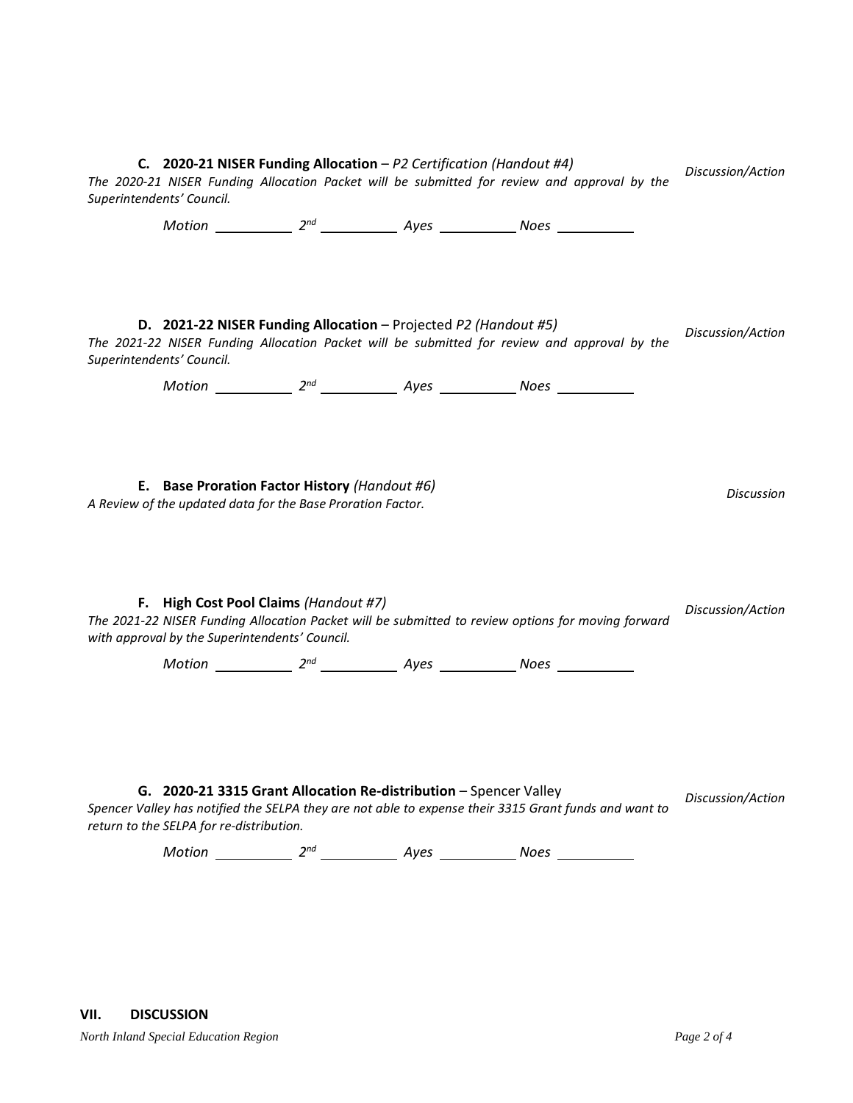**C. 2020-21 NISER Funding Allocation** – *P2 Certification (Handout #4) The 2020-21 NISER Funding Allocation Packet will be submitted for review and approval by the Superintendents' Council. Discussion/Action Motion* 2<sup>nd</sup> 2<sup>nd</sup> Ayes 2008 Noes **D. 2021-22 NISER Funding Allocation** – Projected *P2 (Handout #5) The 2021-22 NISER Funding Allocation Packet will be submitted for review and approval by the Superintendents' Council. Discussion/Action Motion* 2<sup>nd</sup> 2<sup>nd</sup> Ayes 2008 Noes **E. Base Proration Factor History** *(Handout #6) A Review of the updated data for the Base Proration Factor. Discussion* **F. High Cost Pool Claims** *(Handout #7) The 2021-22 NISER Funding Allocation Packet will be submitted to review options for moving forward with approval by the Superintendents' Council. Discussion/Action Motion* 2<sup>nd</sup> 2<sup>nd</sup> Ayes 2008 Noes **G. 2020-21 3315 Grant Allocation Re-distribution - Spencer Valley** *Spencer Valley has notified the SELPA they are not able to expense their 3315 Grant funds and want to return to the SELPA for re-distribution. Discussion/Action Motion* 2<sup>nd</sup> 2<sup>nd</sup> Ayes 2008 Noes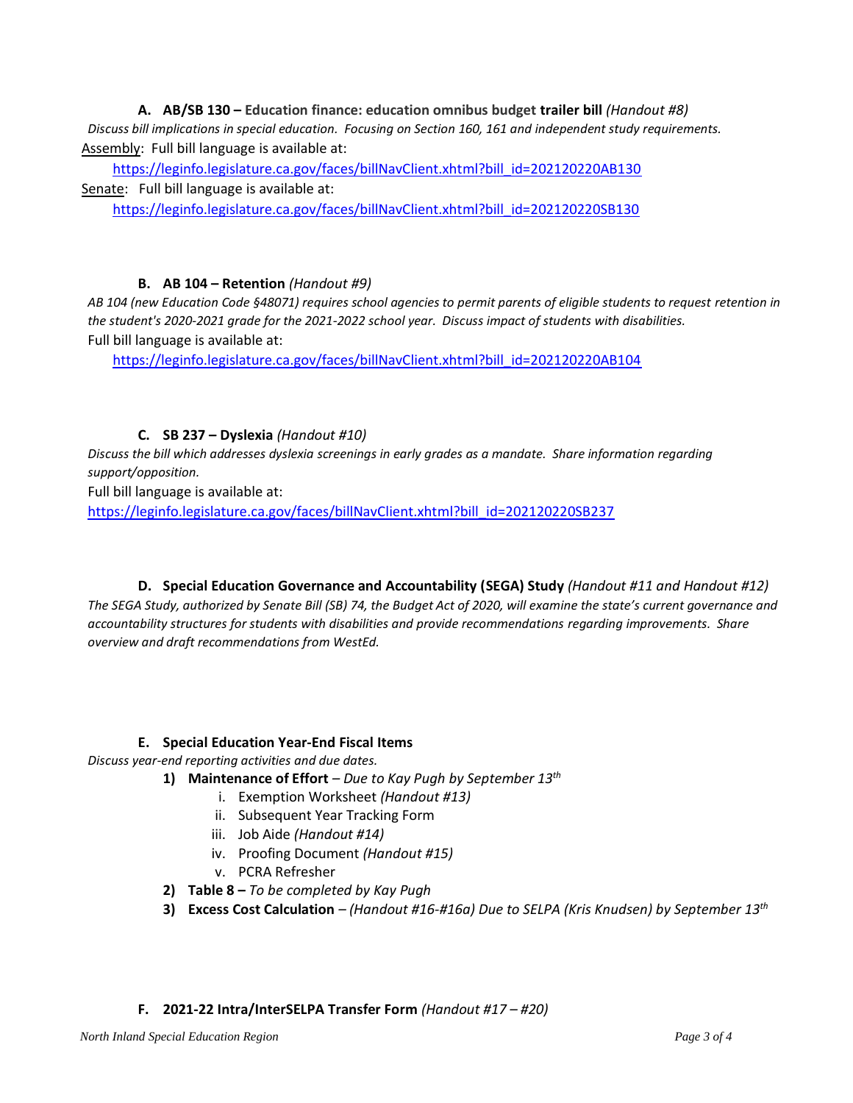**A. AB/SB 130 – Education finance: education omnibus budget trailer bill** *(Handout #8) Discuss bill implications in special education. Focusing on Section 160, 161 and independent study requirements.*  Assembly: Full bill language is available at:

[https://leginfo.legislature.ca.gov/faces/billNavClient.xhtml?bill\\_id=202120220AB130](https://leginfo.legislature.ca.gov/faces/billNavClient.xhtml?bill_id=202120220AB130) Senate: Full bill language is available at:

[https://leginfo.legislature.ca.gov/faces/billNavClient.xhtml?bill\\_id=202120220SB130](https://leginfo.legislature.ca.gov/faces/billNavClient.xhtml?bill_id=202120220SB130)

## **B. AB 104 – Retention** *(Handout #9)*

AB 104 (new Education Code §48071) requires school agencies to permit parents of eligible students to request retention in *the student's 2020-2021 grade for the 2021-2022 school year. Discuss impact of students with disabilities.*  Full bill language is available at:

[https://leginfo.legislature.ca.gov/faces/billNavClient.xhtml?bill\\_id=202120220AB104](https://leginfo.legislature.ca.gov/faces/billNavClient.xhtml?bill_id=202120220AB104)

## **C. SB 237 – Dyslexia** *(Handout #10)*

*Discuss the bill which addresses dyslexia screenings in early grades as a mandate. Share information regarding support/opposition.*

Full bill language is available at:

[https://leginfo.legislature.ca.gov/faces/billNavClient.xhtml?bill\\_id=202120220SB237](https://leginfo.legislature.ca.gov/faces/billNavClient.xhtml?bill_id=202120220SB237)

**D. Special Education Governance and Accountability (SEGA) Study** *(Handout #11 and Handout #12) The SEGA Study, authorized by Senate Bill (SB) 74, the Budget Act of 2020, will examine the state's current governance and accountability structures for students with disabilities and provide recommendations regarding improvements. Share overview and draft recommendations from WestEd.*

## **E. Special Education Year-End Fiscal Items**

*Discuss year-end reporting activities and due dates.* 

- **1) Maintenance of Effort** *– Due to Kay Pugh by September 13th*
	- i. Exemption Worksheet *(Handout #13)*
	- ii. Subsequent Year Tracking Form
	- iii. Job Aide *(Handout #14)*
	- iv. Proofing Document *(Handout #15)*
	- v. PCRA Refresher
- **2) Table 8 –** *To be completed by Kay Pugh*
- **3) Excess Cost Calculation** *– (Handout #16-#16a) Due to SELPA (Kris Knudsen) by September 13 th*

## **F. 2021-22 Intra/InterSELPA Transfer Form** *(Handout #17 – #20)*